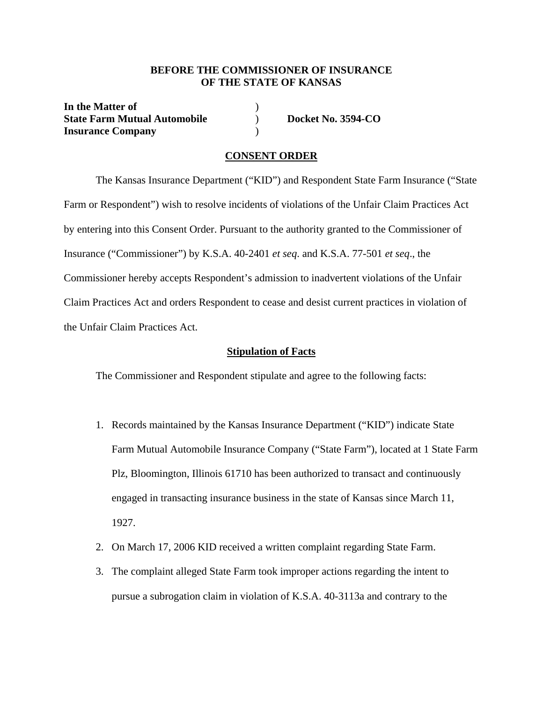### **BEFORE THE COMMISSIONER OF INSURANCE OF THE STATE OF KANSAS**

**In the Matter of** ) **State Farm Mutual Automobile** (a) **Docket No. 3594-CO Insurance Company** )

### **CONSENT ORDER**

 The Kansas Insurance Department ("KID") and Respondent State Farm Insurance ("State Farm or Respondent") wish to resolve incidents of violations of the Unfair Claim Practices Act by entering into this Consent Order. Pursuant to the authority granted to the Commissioner of Insurance ("Commissioner") by K.S.A. 40-2401 *et seq*. and K.S.A. 77-501 *et seq*., the Commissioner hereby accepts Respondent's admission to inadvertent violations of the Unfair Claim Practices Act and orders Respondent to cease and desist current practices in violation of the Unfair Claim Practices Act.

#### **Stipulation of Facts**

The Commissioner and Respondent stipulate and agree to the following facts:

- 1. Records maintained by the Kansas Insurance Department ("KID") indicate State Farm Mutual Automobile Insurance Company ("State Farm"), located at 1 State Farm Plz, Bloomington, Illinois 61710 has been authorized to transact and continuously engaged in transacting insurance business in the state of Kansas since March 11, 1927.
- 2. On March 17, 2006 KID received a written complaint regarding State Farm.
- 3. The complaint alleged State Farm took improper actions regarding the intent to pursue a subrogation claim in violation of K.S.A. 40-3113a and contrary to the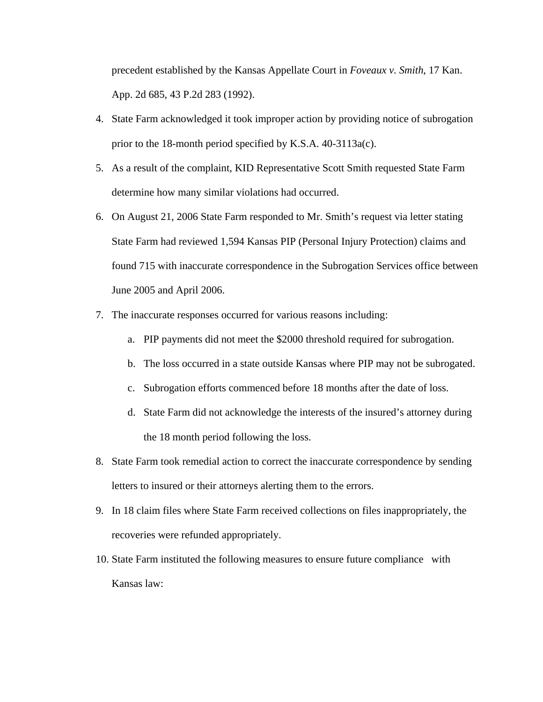precedent established by the Kansas Appellate Court in *Foveaux v. Smith*, 17 Kan. App. 2d 685, 43 P.2d 283 (1992).

- 4. State Farm acknowledged it took improper action by providing notice of subrogation prior to the 18-month period specified by K.S.A. 40-3113a(c).
- 5. As a result of the complaint, KID Representative Scott Smith requested State Farm determine how many similar violations had occurred.
- 6. On August 21, 2006 State Farm responded to Mr. Smith's request via letter stating State Farm had reviewed 1,594 Kansas PIP (Personal Injury Protection) claims and found 715 with inaccurate correspondence in the Subrogation Services office between June 2005 and April 2006.
- 7. The inaccurate responses occurred for various reasons including:
	- a. PIP payments did not meet the \$2000 threshold required for subrogation.
	- b. The loss occurred in a state outside Kansas where PIP may not be subrogated.
	- c. Subrogation efforts commenced before 18 months after the date of loss.
	- d. State Farm did not acknowledge the interests of the insured's attorney during the 18 month period following the loss.
- 8. State Farm took remedial action to correct the inaccurate correspondence by sending letters to insured or their attorneys alerting them to the errors.
- 9. In 18 claim files where State Farm received collections on files inappropriately, the recoveries were refunded appropriately.
- 10. State Farm instituted the following measures to ensure future compliance with Kansas law: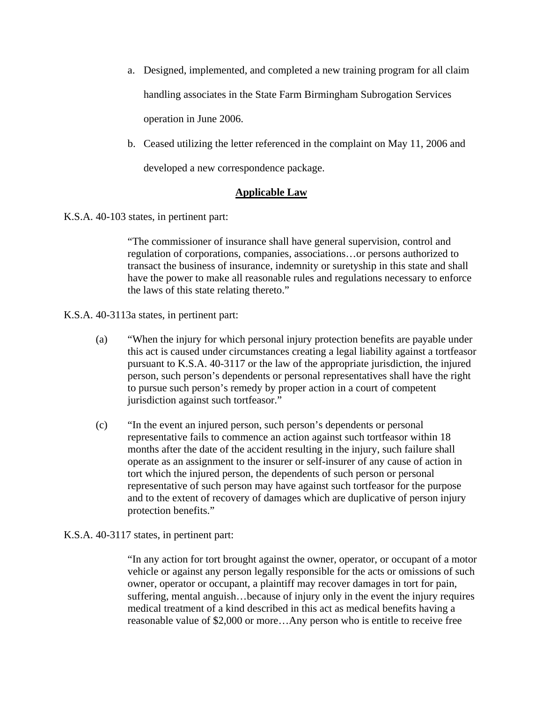- a. Designed, implemented, and completed a new training program for all claim handling associates in the State Farm Birmingham Subrogation Services operation in June 2006.
- b. Ceased utilizing the letter referenced in the complaint on May 11, 2006 and developed a new correspondence package.

# **Applicable Law**

K.S.A. 40-103 states, in pertinent part:

"The commissioner of insurance shall have general supervision, control and regulation of corporations, companies, associations…or persons authorized to transact the business of insurance, indemnity or suretyship in this state and shall have the power to make all reasonable rules and regulations necessary to enforce the laws of this state relating thereto."

K.S.A. 40-3113a states, in pertinent part:

- (a) "When the injury for which personal injury protection benefits are payable under this act is caused under circumstances creating a legal liability against a tortfeasor pursuant to K.S.A. 40-3117 or the law of the appropriate jurisdiction, the injured person, such person's dependents or personal representatives shall have the right to pursue such person's remedy by proper action in a court of competent jurisdiction against such tortfeasor."
- (c) "In the event an injured person, such person's dependents or personal representative fails to commence an action against such tortfeasor within 18 months after the date of the accident resulting in the injury, such failure shall operate as an assignment to the insurer or self-insurer of any cause of action in tort which the injured person, the dependents of such person or personal representative of such person may have against such tortfeasor for the purpose and to the extent of recovery of damages which are duplicative of person injury protection benefits."

## K.S.A. 40-3117 states, in pertinent part:

"In any action for tort brought against the owner, operator, or occupant of a motor vehicle or against any person legally responsible for the acts or omissions of such owner, operator or occupant, a plaintiff may recover damages in tort for pain, suffering, mental anguish…because of injury only in the event the injury requires medical treatment of a kind described in this act as medical benefits having a reasonable value of \$2,000 or more…Any person who is entitle to receive free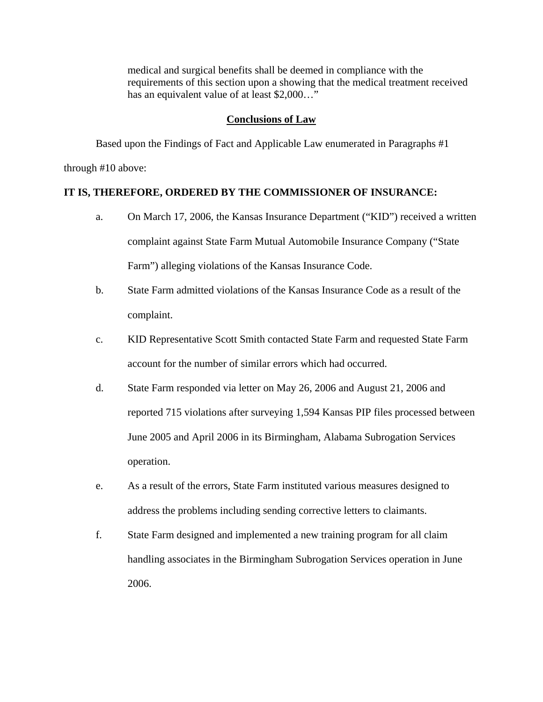medical and surgical benefits shall be deemed in compliance with the requirements of this section upon a showing that the medical treatment received has an equivalent value of at least \$2,000..."

#### **Conclusions of Law**

Based upon the Findings of Fact and Applicable Law enumerated in Paragraphs #1 through #10 above:

## **IT IS, THEREFORE, ORDERED BY THE COMMISSIONER OF INSURANCE:**

- a. On March 17, 2006, the Kansas Insurance Department ("KID") received a written complaint against State Farm Mutual Automobile Insurance Company ("State Farm") alleging violations of the Kansas Insurance Code.
- b. State Farm admitted violations of the Kansas Insurance Code as a result of the complaint.
- c. KID Representative Scott Smith contacted State Farm and requested State Farm account for the number of similar errors which had occurred.
- d. State Farm responded via letter on May 26, 2006 and August 21, 2006 and reported 715 violations after surveying 1,594 Kansas PIP files processed between June 2005 and April 2006 in its Birmingham, Alabama Subrogation Services operation.
- e. As a result of the errors, State Farm instituted various measures designed to address the problems including sending corrective letters to claimants.
- f. State Farm designed and implemented a new training program for all claim handling associates in the Birmingham Subrogation Services operation in June 2006.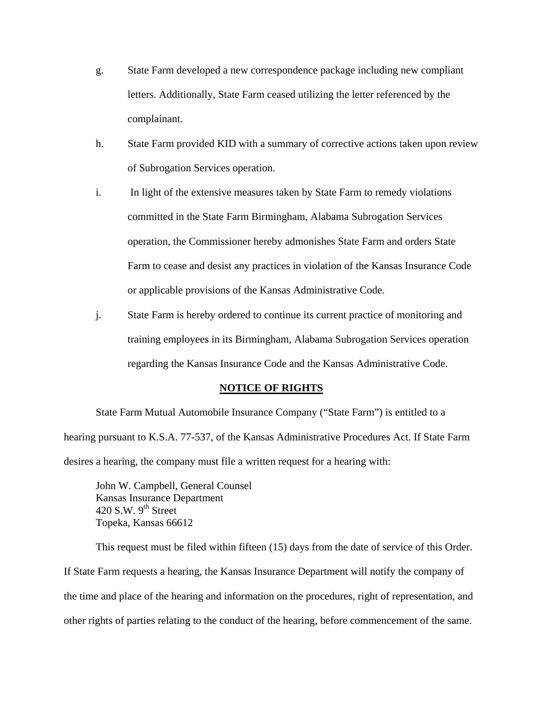- g. State Farm developed a new correspondence package including new compliant letters. Additionally, State Farm ceased utilizing the letter referenced by the complainant.
- h. State Farm provided KID with a summary of corrective actions taken upon review of Subrogation Services operation.
- i. In light of the extensive measures taken by State Farm to remedy violations committed in the State Farm Birmingham, Alabama Subrogation Services operation, the Commissioner hereby admonishes State Farm and orders State Farm to cease and desist any practices in violation of the Kansas Insurance Code or applicable provisions of the Kansas Administrative Code.
- j. State Farm is hereby ordered to continue its current practice of monitoring and training employees in its Birmingham, Alabama Subrogation Services operation regarding the Kansas Insurance Code and the Kansas Administrative Code.

#### **NOTICE OF RIGHTS**

 State Farm Mutual Automobile Insurance Company ("State Farm") is entitled to a hearing pursuant to K.S.A. 77-537, of the Kansas Administrative Procedures Act. If State Farm desires a hearing, the company must file a written request for a hearing with:

 John W. Campbell, General Counsel Kansas Insurance Department 420 S.W.  $9^{th}$  Street Topeka, Kansas 66612

 This request must be filed within fifteen (15) days from the date of service of this Order. If State Farm requests a hearing, the Kansas Insurance Department will notify the company of the time and place of the hearing and information on the procedures, right of representation, and other rights of parties relating to the conduct of the hearing, before commencement of the same.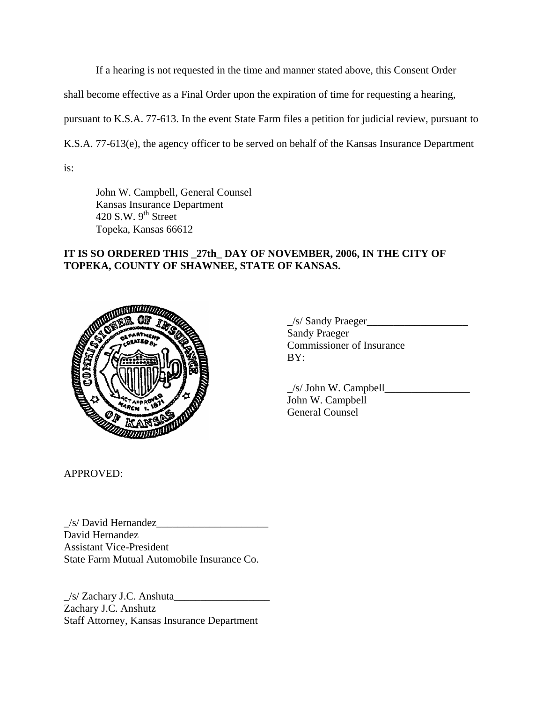If a hearing is not requested in the time and manner stated above, this Consent Order

shall become effective as a Final Order upon the expiration of time for requesting a hearing,

pursuant to K.S.A. 77-613. In the event State Farm files a petition for judicial review, pursuant to

K.S.A. 77-613(e), the agency officer to be served on behalf of the Kansas Insurance Department

is:

 John W. Campbell, General Counsel Kansas Insurance Department 420 S.W.  $9<sup>th</sup>$  Street Topeka, Kansas 66612

## **IT IS SO ORDERED THIS \_27th\_ DAY OF NOVEMBER, 2006, IN THE CITY OF TOPEKA, COUNTY OF SHAWNEE, STATE OF KANSAS.**



| <b>NUMBER OF</b><br>$-402$ | /s/ Sandy Praeger                |
|----------------------------|----------------------------------|
| OLDARTMEN                  | <b>Sandy Praeger</b>             |
| atATED.                    | <b>Commissioner of Insurance</b> |
| الايوران                   | BY:                              |
|                            |                                  |

|                   | $/s$ John W. Campbell |
|-------------------|-----------------------|
|                   | John W. Campbell      |
| <b>CALLING OF</b> | General Counsel       |

APPROVED:

 $\angle$ s/ David Hernandez David Hernandez Assistant Vice-President State Farm Mutual Automobile Insurance Co.

 $/s/$  Zachary J.C. Anshuta Zachary J.C. Anshutz Staff Attorney, Kansas Insurance Department